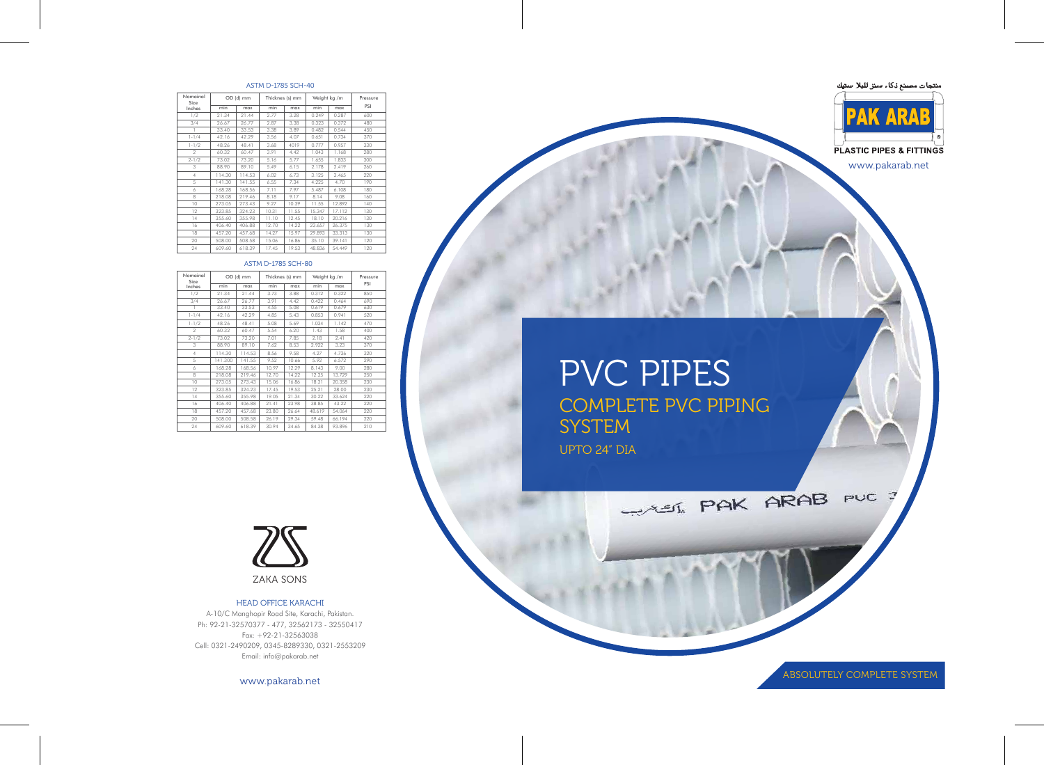# PVC PIPES COMPLETE PVC PIPING **SYSTEM** UPTO 24" DIA

| Nomainal<br>Size |         | OD (d) mm |       | Thicknes (s) mm | Weight kg /m |        | Pressure |  |
|------------------|---------|-----------|-------|-----------------|--------------|--------|----------|--|
| Inches           | min     | max       | min   | max             | min          | max    | PSI      |  |
| 1/2              | 21.34   | 21.44     | 3.73  | 3.88            | 0.312        | 0.322  | 850      |  |
| 3/4              | 26.67   | 26.77     | 3.91  | 4.42            | 0.422        | 0.464  | 690      |  |
|                  | 33.40   | 33.53     | 4.55  | 5.08            | 0.619        | 0.679  | 630      |  |
| $1 - 1/4$        | 42.16   | 42.29     | 4.85  | 5.43            | 0.853        | 0.941  | 520      |  |
| $1 - 1/2$        | 48.26   | 48.41     | 5.08  | 5.69            | 1.034        | 1.142  | 470      |  |
| $\mathfrak{D}$   | 60.32   | 60.47     | 5.54  | 6.20            | 1.43         | 1.58   | 400      |  |
| $2 - 1/2$        | 73.02   | 73.20     | 7.01  | 7.85            | 2.18         | 2.41   | 420      |  |
| 3                | 88.90   | 89.10     | 7.62  | 8.53            | 2.922        | 3.23   | 370      |  |
| $\overline{4}$   | 114.30  | 114.53    | 8.56  | 9.58            | 4.27         | 4.736  | 320      |  |
| 5                | 141.300 | 141.55    | 9.52  | 10.66           | 5.92         | 6.572  | 290      |  |
| 6                | 168.28  | 168.56    | 10.97 | 12.29           | 8.143        | 9.00   | 280      |  |
| 8                | 218.08  | 219.46    | 12.70 | 14.22           | 12.35        | 13.729 | 250      |  |
| 10               | 273.05  | 273.43    | 15.06 | 16.86           | 18.31        | 20.358 | 230      |  |
| 12               | 323.85  | 324.23    | 17.45 | 19.53           | 25.21        | 28.00  | 230      |  |
| 14               | 355.60  | 355.98    | 19.05 | 21.34           | 30.22        | 33.624 | 220      |  |
| 16               | 406.40  | 406.88    | 21.41 | 23.98           | 38.85        | 43.22  | 220      |  |
| 18               | 457.20  | 457.68    | 23.80 | 26.64           | 48.619       | 54.064 | 220      |  |
| 20               | 508.00  | 508.58    | 26.19 | 29.34           | 59.48        | 66.194 | 220      |  |
| 24               | 609.60  | 618.39    | 30.94 | 34.65           | 84.38        | 93.896 | 210      |  |

#### ASTM D-1785 SCH-80

| Nomainal<br>Size |        | OD (d) mm |       | Thicknes (s) mm | Weight kg /m |        | Pressure |  |
|------------------|--------|-----------|-------|-----------------|--------------|--------|----------|--|
| Inches           | min    | max       | min   | max             | min          | max    | PSI      |  |
| 1/2              | 21.34  | 21.44     | 2.77  | 3.28            | 0.249        | 0.287  | 600      |  |
| 3/4              | 26.67  | 26.77     | 2.87  | 3.38            | 0.323        | 0.372  | 480      |  |
|                  | 33.40  | 33.53     | 3.38  | 3.89            | 0.482        | 0.544  | 450      |  |
| $1 - 1/4$        | 42.16  | 42.29     | 3.56  | 4.07            | 0.651        | 0.734  | 370      |  |
| $1 - 1/2$        | 48.26  | 48.41     | 3.68  | 4019            | 0.777        | 0.957  | 330      |  |
| $\mathfrak{D}$   | 60.32  | 60.47     | 3.91  | 4.42            | 1.043        | 1.168  | 280      |  |
| $2 - 1/2$        | 73.02  | 73.20     | 5.16  | 5.77            | 1.655        | 1.833  | 300      |  |
| 3                | 88.90  | 89.10     | 5.49  | 6.15            | 2.178        | 2.419  | 260      |  |
| $\overline{4}$   | 114.30 | 114.53    | 6.02  | 6.73            | 3.125        | 3.465  | 220      |  |
| 5                | 141.30 | 141.55    | 6.55  | 7.34            | 4.225        | 4.70   | 190      |  |
| 6                | 168.28 | 168.56    | 7.11  | 7.97            | 5.487        | 6.108  | 180      |  |
| 8                | 218.08 | 219.46    | 8.18  | 9.17            | 8.14         | 9.08   | 160      |  |
| 10               | 273.05 | 273.43    | 9.27  | 10.39           | 11.55        | 12.892 | 140      |  |
| 12               | 323.85 | 324.23    | 10.31 | 11.55           | 15.347       | 17.112 | 130      |  |
| 14               | 355.60 | 355.98    | 11.10 | 12.45           | 18.10        | 20.216 | 130      |  |
| 16               | 406.40 | 406.88    | 12.70 | 14.22           | 23.657       | 26.375 | 130      |  |
| 18               | 457.20 | 457.68    | 14.27 | 15.97           | 29.893       | 33.313 | 130      |  |
| 20               | 508.00 | 508.58    | 15.06 | 16.86           | 35.10        | 39.141 | 120      |  |
| 24               | 609.60 | 618.39    | 17.45 | 19.53           | 48.836       | 54.449 | 120      |  |

## ASTM D-1785 SCH-40





HEAD OFFICE KARACHI A-10/C Manghopir Road Site, Karachi, Pakistan. Ph: 92-21-32570377 - 477, 32562173 - 32550417 Fax: +92-21-32563038 Cell: 0321-2490209, 0345-8289330, 0321-2553209 Email: info@pakarab.net

www.pakarab.net